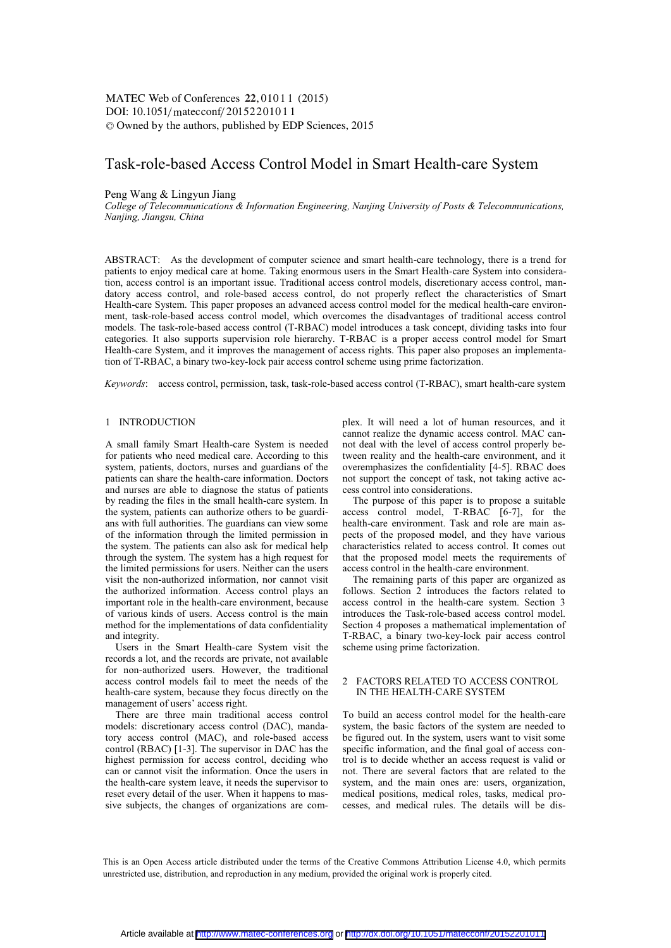DOI: 10.1051/matecconf/20152201011 -<sup>C</sup> Owned by the authors, published by EDP Sciences, 2015 MATEC Web of Conferences 22, 01011 (2015)

# Task-role-based Access Control Model in Smart Health-care System

# Peng Wang & Lingyun Jiang

*College of Telecommunications & Information Engineering, Nanjing University of Posts & Telecommunications, Nanjing, Jiangsu, China* 

ABSTRACT: As the development of computer science and smart health-care technology, there is a trend for patients to enjoy medical care at home. Taking enormous users in the Smart Health-care System into consideration, access control is an important issue. Traditional access control models, discretionary access control, mandatory access control, and role-based access control, do not properly reflect the characteristics of Smart Health-care System. This paper proposes an advanced access control model for the medical health-care environment, task-role-based access control model, which overcomes the disadvantages of traditional access control models. The task-role-based access control (T-RBAC) model introduces a task concept, dividing tasks into four categories. It also supports supervision role hierarchy. T-RBAC is a proper access control model for Smart Health-care System, and it improves the management of access rights. This paper also proposes an implementation of T-RBAC, a binary two-key-lock pair access control scheme using prime factorization.

*Keywords*: access control, permission, task, task-role-based access control (T-RBAC), smart health-care system

#### 1 INTRODUCTION

A small family Smart Health-care System is needed for patients who need medical care. According to this system, patients, doctors, nurses and guardians of the patients can share the health-care information. Doctors and nurses are able to diagnose the status of patients by reading the files in the small health-care system. In the system, patients can authorize others to be guardians with full authorities. The guardians can view some of the information through the limited permission in the system. The patients can also ask for medical help through the system. The system has a high request for the limited permissions for users. Neither can the users visit the non-authorized information, nor cannot visit the authorized information. Access control plays an important role in the health-care environment, because of various kinds of users. Access control is the main method for the implementations of data confidentiality and integrity.

Users in the Smart Health-care System visit the records a lot, and the records are private, not available for non-authorized users. However, the traditional access control models fail to meet the needs of the health-care system, because they focus directly on the management of users' access right.

There are three main traditional access control models: discretionary access control (DAC), mandatory access control (MAC), and role-based access control (RBAC) [1-3]. The supervisor in DAC has the highest permission for access control, deciding who can or cannot visit the information. Once the users in the health-care system leave, it needs the supervisor to reset every detail of the user. When it happens to massive subjects, the changes of organizations are complex. It will need a lot of human resources, and it cannot realize the dynamic access control. MAC cannot deal with the level of access control properly between reality and the health-care environment, and it overemphasizes the confidentiality [4-5]. RBAC does not support the concept of task, not taking active access control into considerations.

The purpose of this paper is to propose a suitable access control model, T-RBAC [6-7], for the health-care environment. Task and role are main aspects of the proposed model, and they have various characteristics related to access control. It comes out that the proposed model meets the requirements of access control in the health-care environment.

The remaining parts of this paper are organized as follows. Section 2 introduces the factors related to access control in the health-care system. Section 3 introduces the Task-role-based access control model. Section 4 proposes a mathematical implementation of T-RBAC, a binary two-key-lock pair access control scheme using prime factorization.

## 2 FACTORS RELATED TO ACCESS CONTROL IN THE HEALTH-CARE SYSTEM

To build an access control model for the health-care system, the basic factors of the system are needed to be figured out. In the system, users want to visit some specific information, and the final goal of access control is to decide whether an access request is valid or not. There are several factors that are related to the system, and the main ones are: users, organization, medical positions, medical roles, tasks, medical processes, and medical rules. The details will be dis-

This is an Open Access article distributed under the terms of the Creative Commons Attribution License 4.0, which permits unrestricted use, distribution, and reproduction in any medium, provided the original work is properly cited.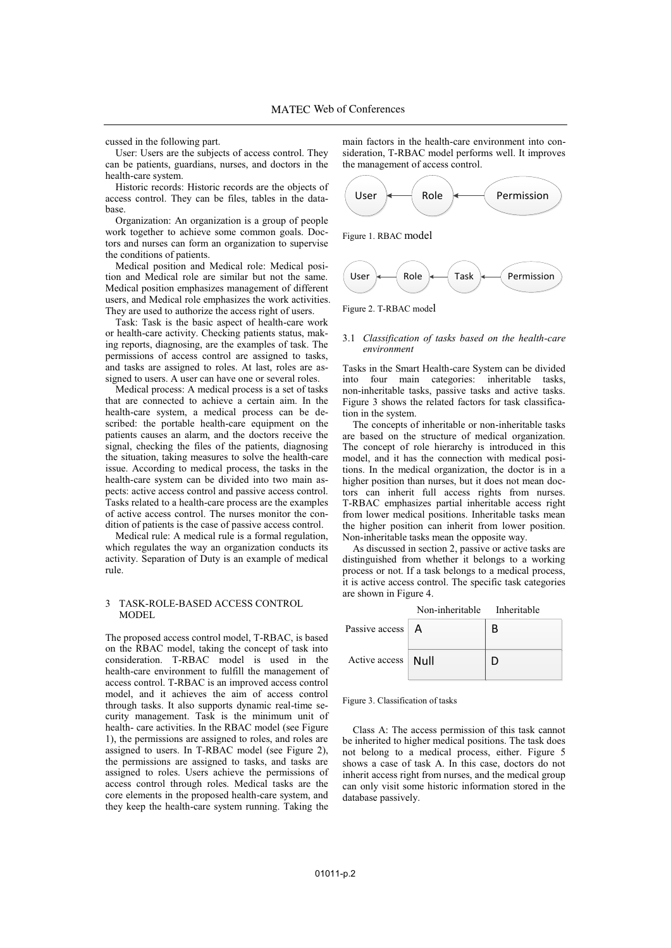cussed in the following part.

User: Users are the subjects of access control. They can be patients, guardians, nurses, and doctors in the health-care system.

Historic records: Historic records are the objects of access control. They can be files, tables in the database.

Organization: An organization is a group of people work together to achieve some common goals. Doctors and nurses can form an organization to supervise the conditions of patients.

Medical position and Medical role: Medical position and Medical role are similar but not the same. Medical position emphasizes management of different users, and Medical role emphasizes the work activities. They are used to authorize the access right of users.

Task: Task is the basic aspect of health-care work or health-care activity. Checking patients status, making reports, diagnosing, are the examples of task. The permissions of access control are assigned to tasks, and tasks are assigned to roles. At last, roles are assigned to users. A user can have one or several roles.

Medical process: A medical process is a set of tasks that are connected to achieve a certain aim. In the health-care system, a medical process can be described: the portable health-care equipment on the patients causes an alarm, and the doctors receive the signal, checking the files of the patients, diagnosing the situation, taking measures to solve the health-care issue. According to medical process, the tasks in the health-care system can be divided into two main aspects: active access control and passive access control. Tasks related to a health-care process are the examples of active access control. The nurses monitor the condition of patients is the case of passive access control.

Medical rule: A medical rule is a formal regulation, which regulates the way an organization conducts its activity. Separation of Duty is an example of medical rule.

## 3 TASK-ROLE-BASED ACCESS CONTROL MODEL

The proposed access control model, T-RBAC, is based on the RBAC model, taking the concept of task into consideration. T-RBAC model is used in the health-care environment to fulfill the management of access control. T-RBAC is an improved access control model, and it achieves the aim of access control through tasks. It also supports dynamic real-time security management. Task is the minimum unit of health- care activities. In the RBAC model (see Figure 1), the permissions are assigned to roles, and roles are assigned to users. In T-RBAC model (see Figure 2), the permissions are assigned to tasks, and tasks are assigned to roles. Users achieve the permissions of access control through roles. Medical tasks are the core elements in the proposed health-care system, and they keep the health-care system running. Taking the

main factors in the health-care environment into consideration, T-RBAC model performs well. It improves the management of access control.







Figure 2. T-RBAC model

## 3.1 *Classification of tasks based on the health-care environment*

Tasks in the Smart Health-care System can be divided into four main categories: inheritable tasks, non-inheritable tasks, passive tasks and active tasks. Figure 3 shows the related factors for task classification in the system.

The concepts of inheritable or non-inheritable tasks are based on the structure of medical organization. The concept of role hierarchy is introduced in this model, and it has the connection with medical positions. In the medical organization, the doctor is in a higher position than nurses, but it does not mean doctors can inherit full access rights from nurses. T-RBAC emphasizes partial inheritable access right from lower medical positions. Inheritable tasks mean the higher position can inherit from lower position. Non-inheritable tasks mean the opposite way.

As discussed in section 2, passive or active tasks are distinguished from whether it belongs to a working process or not. If a task belongs to a medical process, it is active access control. The specific task categories are shown in Figure 4.

|                    | Non-inheritable Inheritable |   |
|--------------------|-----------------------------|---|
| Passive access   A |                             |   |
| Active access      | Null                        | Ð |

#### Figure 3. Classification of tasks

Class A: The access permission of this task cannot be inherited to higher medical positions. The task does not belong to a medical process, either. Figure 5 shows a case of task A. In this case, doctors do not inherit access right from nurses, and the medical group can only visit some historic information stored in the database passively.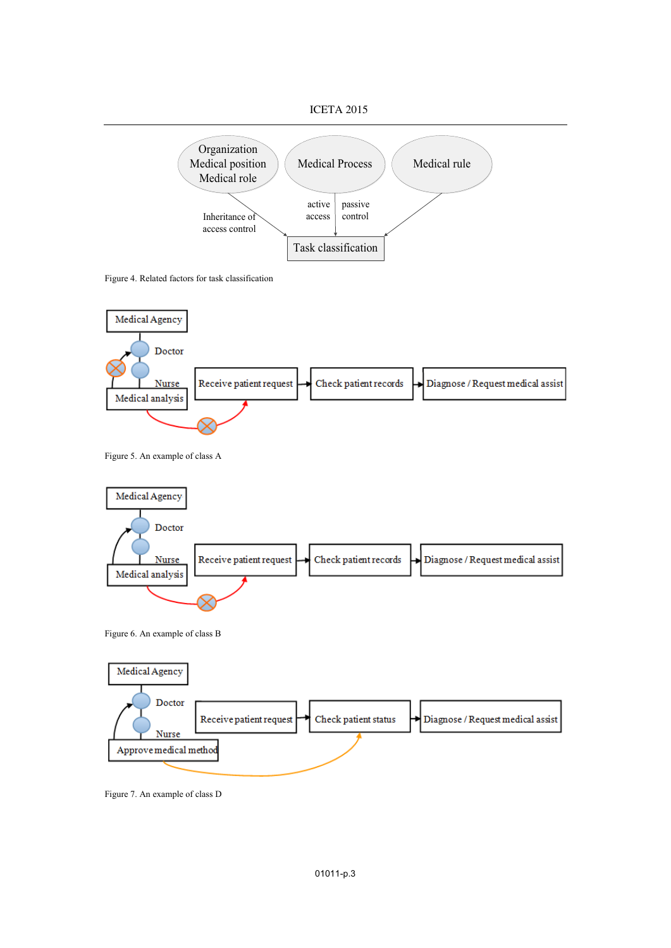



Figure 4. Related factors for task classification



Figure 5. An example of class A



Figure 7. An example of class D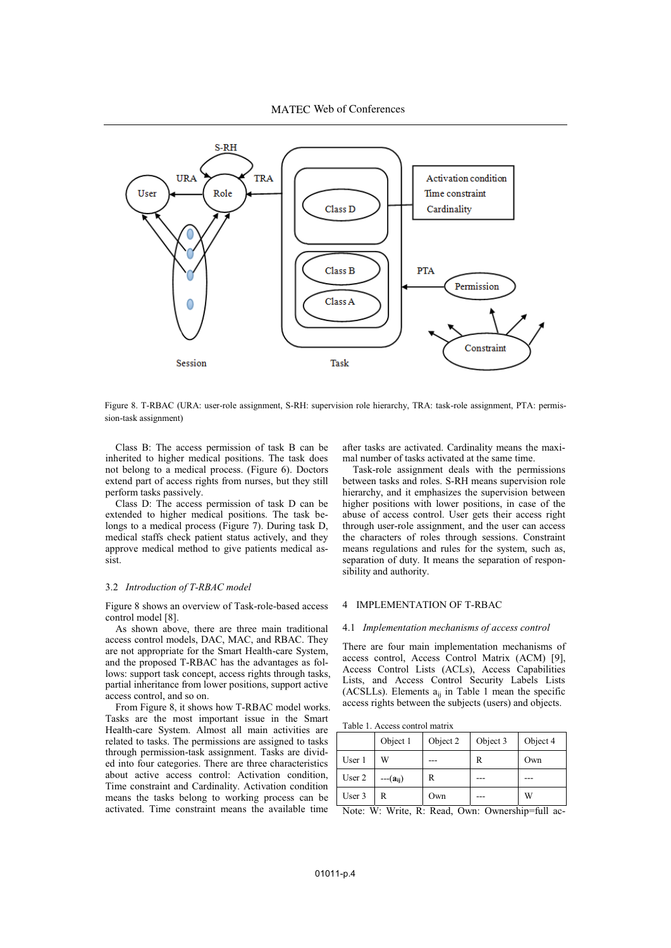MATEC Web of Conferences



Figure 8. T-RBAC (URA: user-role assignment, S-RH: supervision role hierarchy, TRA: task-role assignment, PTA: permission-task assignment)

Class B: The access permission of task B can be inherited to higher medical positions. The task does not belong to a medical process. (Figure 6). Doctors extend part of access rights from nurses, but they still perform tasks passively.

Class D: The access permission of task D can be extended to higher medical positions. The task belongs to a medical process (Figure 7). During task D, medical staffs check patient status actively, and they approve medical method to give patients medical assist.

## 3.2 *Introduction of T-RBAC model*

Figure 8 shows an overview of Task-role-based access control model [8].

As shown above, there are three main traditional access control models, DAC, MAC, and RBAC. They are not appropriate for the Smart Health-care System, and the proposed T-RBAC has the advantages as follows: support task concept, access rights through tasks, partial inheritance from lower positions, support active access control, and so on.

From Figure 8, it shows how T-RBAC model works. Tasks are the most important issue in the Smart Health-care System. Almost all main activities are related to tasks. The permissions are assigned to tasks through permission-task assignment. Tasks are divided into four categories. There are three characteristics about active access control: Activation condition, Time constraint and Cardinality. Activation condition means the tasks belong to working process can be activated. Time constraint means the available time

after tasks are activated. Cardinality means the maximal number of tasks activated at the same time.

Task-role assignment deals with the permissions between tasks and roles. S-RH means supervision role hierarchy, and it emphasizes the supervision between higher positions with lower positions, in case of the abuse of access control. User gets their access right through user-role assignment, and the user can access the characters of roles through sessions. Constraint means regulations and rules for the system, such as, separation of duty. It means the separation of responsibility and authority.

## 4 IMPLEMENTATION OF T-RBAC

#### 4.1 *Implementation mechanisms of access control*

There are four main implementation mechanisms of access control, Access Control Matrix (ACM) [9], Access Control Lists (ACLs), Access Capabilities Lists, and Access Control Security Labels Lists (ACSLLs). Elements  $a_{ii}$  in Table 1 mean the specific access rights between the subjects (users) and objects.

|  |  | Table 1. Access control matrix |  |  |
|--|--|--------------------------------|--|--|
|--|--|--------------------------------|--|--|

|        | Object 1     | Object 3<br>Object 2 |   | Object 4 |  |
|--------|--------------|----------------------|---|----------|--|
| User 1 | W            |                      | R | Own      |  |
| User 2 | $--(a_{ii})$ | R                    |   |          |  |
| User 3 | R            | Own                  |   | W        |  |

Note: W: Write, R: Read, Own: Ownership=full ac-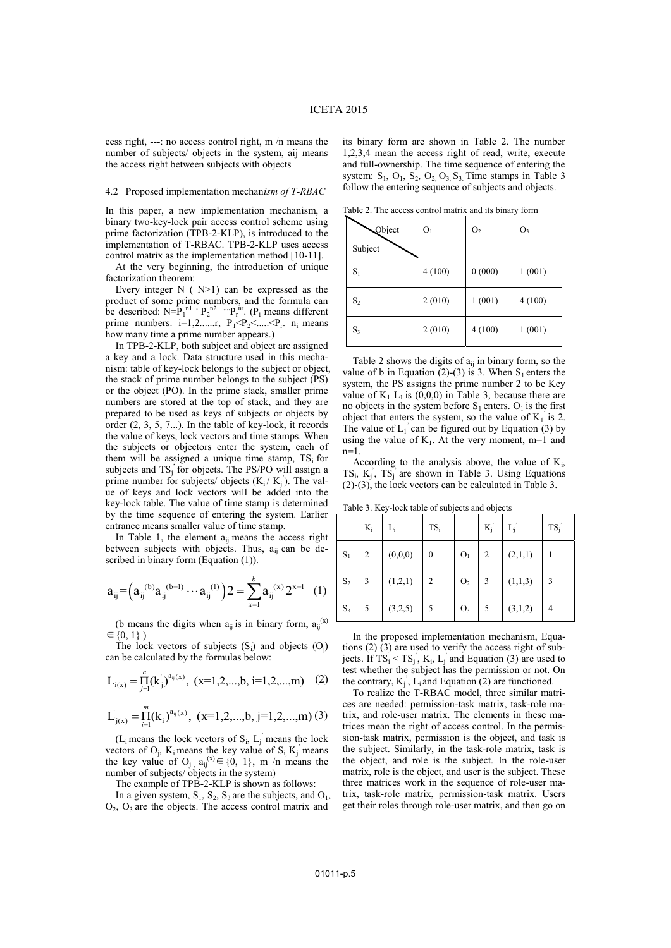cess right, ---: no access control right, m /n means the number of subjects/ objects in the system, aij means the access right between subjects with objects

#### 4.2 Proposed implementation mechan*ism of T-RBAC*

In this paper, a new implementation mechanism, a binary two-key-lock pair access control scheme using prime factorization (TPB-2-KLP), is introduced to the implementation of T-RBAC. TPB-2-KLP uses access control matrix as the implementation method [10-11].

At the very beginning, the introduction of unique factorization theorem:

Every integer  $N$  ( $N>1$ ) can be expressed as the product of some prime numbers, and the formula can be described:  $N = P_1^{nl} \cdot P_2^{n2} \cdots P_r^{nr}$ . ( $P_i$  means different prime numbers.  $i=1,2,....r$ ,  $P_1 < P_2 < ... < P_r$ . n<sub>i</sub> means how many time a prime number appears.)

In TPB-2-KLP, both subject and object are assigned a key and a lock. Data structure used in this mechanism: table of key-lock belongs to the subject or object, the stack of prime number belongs to the subject (PS) or the object (PO). In the prime stack, smaller prime numbers are stored at the top of stack, and they are prepared to be used as keys of subjects or objects by order (2, 3, 5, 7...). In the table of key-lock, it records the value of keys, lock vectors and time stamps. When the subjects or objectors enter the system, each of them will be assigned a unique time stamp,  $TS_i$  for subjects and TS<sub>j</sub> for objects. The PS/PO will assign a prime number for subjects/ objects  $(K_i/K_j)$ . The value of keys and lock vectors will be added into the key-lock table. The value of time stamp is determined by the time sequence of entering the system. Earlier entrance means smaller value of time stamp.

In Table 1, the element  $a_{ij}$  means the access right between subjects with objects. Thus,  $a_{ii}$  can be described in binary form (Equation (1)).

$$
a_{ij} = (a_{ij}^{(b)} a_{ij}^{(b-1)} \cdots a_{ij}^{(1)}) 2 = \sum_{x=1}^{b} a_{ij}^{(x)} 2^{x-1} (1)
$$

(b means the digits when  $a_{ij}$  is in binary form,  $a_{ij}^{(x)}$ )  $\in \{0, 1\}$ )

The lock vectors of subjects  $(S_i)$  and objects  $(O_j)$ can be calculated by the formulas below:

$$
L_{i(x)} = \prod_{j=1}^{n} (k^{'}_{j})^{a_{ij}(x)}, \ (x=1,2,...,b, i=1,2,...,m)
$$
 (2)

$$
L_{j(x)}^{'} = \prod_{i=1}^{m} (k_i)^{a_{ij}(x)}, (x=1,2,...,b, j=1,2,...,m) (3)
$$

 $(L<sub>i</sub>$  means the lock vectors of  $S<sub>i</sub>$ ,  $L<sub>j</sub>$  means the lock vectors of  $O_j$ ,  $K_i$  means the key value of  $S_i$ ,  $K_j$  means the key value of O<sub>j,</sub>  $a_{ij}^{(x)} \in \{0, 1\}$ , m /n means the number of subjects/ objects in the system)

The example of TPB-2-KLP is shown as follows:

In a given system,  $S_1$ ,  $S_2$ ,  $S_3$  are the subjects, and  $O_1$ ,  $O_2$ ,  $O_3$  are the objects. The access control matrix and

its binary form are shown in Table 2. The number 1,2,3,4 mean the access right of read, write, execute and full-ownership. The time sequence of entering the system:  $S_1$ ,  $O_1$ ,  $S_2$ ,  $O_2$ ,  $O_3$ ,  $S_3$ . Time stamps in Table 3 follow the entering sequence of subjects and objects.

Table 2. The access control matrix and its binary form

| Object         | O <sub>1</sub> | O <sub>2</sub> | $O_3$  |
|----------------|----------------|----------------|--------|
| Subject        |                |                |        |
| $S_1$          | 4(100)         | 0(000)         | 1(001) |
| S <sub>2</sub> | 2(010)         | 1(001)         | 4(100) |
| $S_3$          | 2(010)         | 4(100)         | 1(001) |

Table 2 shows the digits of  $a_{ij}$  in binary form, so the value of b in Equation (2)-(3) is 3. When  $S_1$  enters the system, the PS assigns the prime number 2 to be Key value of  $K_1$  L<sub>1</sub> is (0,0,0) in Table 3, because there are no objects in the system before  $S_1$  enters.  $O_1$  is the first object that enters the system, so the value of  $K_1$  is 2. The value of  $L_1$  can be figured out by Equation (3) by using the value of  $K_1$ . At the very moment, m=1 and  $n=1$ .

According to the analysis above, the value of  $K_i$ ,  $TS_i$ ,  $K_j$ ,  $TS_j$  are shown in Table 3. Using Equations (2)-(3), the lock vectors can be calculated in Table 3.

Table 3. Key-lock table of subjects and objects

|                | $K_i$ | $L_i$   | $TS_i$           |                | $K_i$ | $L_i$   | $TS_j$         |
|----------------|-------|---------|------------------|----------------|-------|---------|----------------|
| $S_1$          | 2     | (0,0,0) | $\boldsymbol{0}$ | O <sub>1</sub> | 2     | (2,1,1) |                |
| $\mathbf{S}_2$ | 3     | (1,2,1) | 2                | O <sub>2</sub> | 3     | (1,1,3) | 3              |
| $S_3$          | 5     | (3,2,5) | 5                | O <sub>3</sub> | 5     | (3,1,2) | $\overline{4}$ |

In the proposed implementation mechanism, Equations (2) (3) are used to verify the access right of subjects. If  $TS_i < TS_j$ ,  $K_i$ ,  $L_j$  and Equation (3) are used to test whether the subject has the permission or not. On the contrary,  $K_j$ ,  $L_i$  and Equation (2) are functioned.

To realize the T-RBAC model, three similar matrices are needed: permission-task matrix, task-role matrix, and role-user matrix. The elements in these matrices mean the right of access control. In the permission-task matrix, permission is the object, and task is the subject. Similarly, in the task-role matrix, task is the object, and role is the subject. In the role-user matrix, role is the object, and user is the subject. These three matrices work in the sequence of role-user matrix, task-role matrix, permission-task matrix. Users get their roles through role-user matrix, and then go on